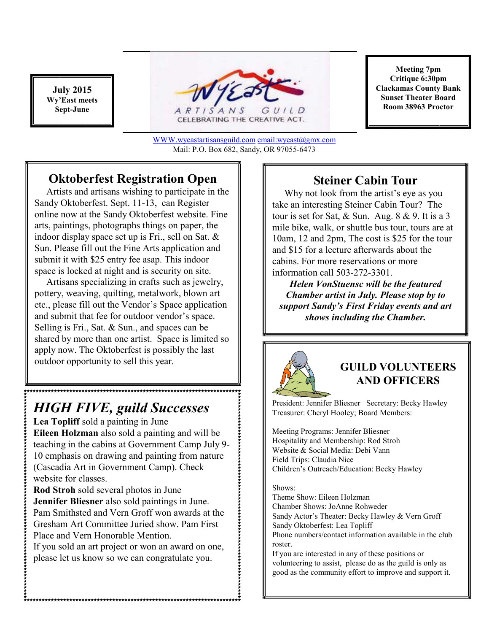**July 2015 Wy'East meets Sept-June** 



WWW.wyeastartisansguild.com email:wyeast@gmx.com Mail: P.O. Box 682, Sandy, OR 97055-6473

## **Oktoberfest Registration Open**

 Artists and artisans wishing to participate in the Sandy Oktoberfest. Sept. 11-13, can Register online now at the Sandy Oktoberfest website. Fine arts, paintings, photographs things on paper, the indoor display space set up is Fri., sell on Sat. & Sun. Please fill out the Fine Arts application and submit it with \$25 entry fee asap. This indoor space is locked at night and is security on site.

 Artisans specializing in crafts such as jewelry, pottery, weaving, quilting, metalwork, blown art etc., please fill out the Vendor's Space application and submit that fee for outdoor vendor's space. Selling is Fri., Sat. & Sun., and spaces can be shared by more than one artist. Space is limited so apply now. The Oktoberfest is possibly the last outdoor opportunity to sell this year.

# *HIGH FIVE, guild Successes*

**Lea Topliff** sold a painting in June **Eileen Holzman** also sold a painting and will be teaching in the cabins at Government Camp July 9- 10 emphasis on drawing and painting from nature (Cascadia Art in Government Camp). Check website for classes.

**Rod Stroh** sold several photos in June **Jennifer Bliesner** also sold paintings in June. Pam Smithsted and Vern Groff won awards at the Gresham Art Committee Juried show. Pam First Place and Vern Honorable Mention.

If you sold an art project or won an award on one, please let us know so we can congratulate you.

**Meeting 7pm Critique 6:30pm Clackamas County Bank Sunset Theater Board Room 38963 Proctor** 

## **Steiner Cabin Tour**

 Why not look from the artist's eye as you take an interesting Steiner Cabin Tour? The tour is set for Sat, & Sun. Aug. 8 & 9. It is a 3 mile bike, walk, or shuttle bus tour, tours are at 10am, 12 and 2pm, The cost is \$25 for the tour and \$15 for a lecture afterwards about the cabins. For more reservations or more information call 503-272-3301.

*Helen VonStuensc will be the featured Chamber artist in July. Please stop by to support Sandy's First Friday events and art shows including the Chamber.* 



#### **GUILD VOLUNTEERS AND OFFICERS**

President: Jennifer Bliesner Secretary: Becky Hawley Treasurer: Cheryl Hooley; Board Members:

Meeting Programs: Jennifer Bliesner Hospitality and Membership: Rod Stroh Website & Social Media: Debi Vann Field Trips: Claudia Nice Children's Outreach/Education: Becky Hawley

#### Shows:

Theme Show: Eileen Holzman Chamber Shows: JoAnne Rohweder Sandy Actor's Theater: Becky Hawley & Vern Groff Sandy Oktoberfest: Lea Topliff Phone numbers/contact information available in the club roster.

If you are interested in any of these positions or volunteering to assist, please do as the guild is only as good as the community effort to improve and support it.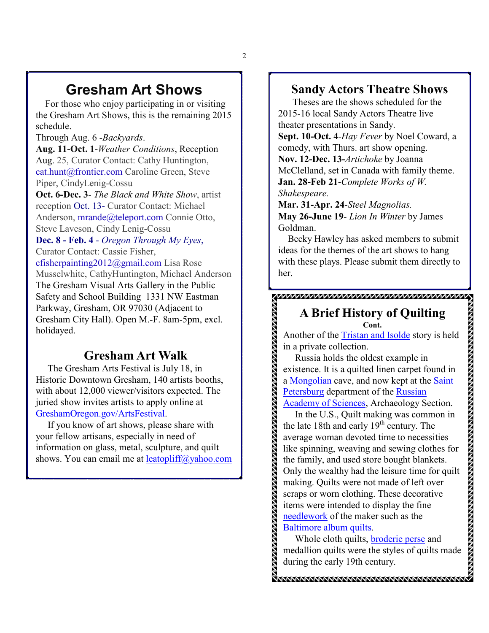# **Gresham Art Shows**

 For those who enjoy participating in or visiting the Gresham Art Shows, this is the remaining 2015 schedule.

Through Aug. 6 -*Backyards*.

**Aug. 11-Oct. 1**-*Weather Conditions*, Reception Aug. 25, Curator Contact: Cathy Huntington, cat.hunt@frontier.com Caroline Green, Steve Piper, CindyLenig-Cossu

**Oct. 6-Dec. 3**- *The Black and White Show*, artist reception Oct. 13- Curator Contact: Michael Anderson, mrande@teleport.com Connie Otto, Steve Laveson, Cindy Lenig-Cossu

**Dec. 8 - Feb. 4** - *Oregon Through My Eyes*, Curator Contact: Cassie Fisher,

cfisherpainting2012@gmail.com Lisa Rose Musselwhite, CathyHuntington, Michael Anderson The Gresham Visual Arts Gallery in the Public Safety and School Building 1331 NW Eastman Parkway, Gresham, OR 97030 (Adjacent to Gresham City Hall). Open M.-F. 8am-5pm, excl. holidayed.

### **Gresham Art Walk**

 The Gresham Arts Festival is July 18, in Historic Downtown Gresham, 140 artists booths, with about 12,000 viewer/visitors expected. The juried show invites artists to apply online at GreshamOregon.gov/ArtsFestival.

 If you know of art shows, please share with your fellow artisans, especially in need of information on glass, metal, sculpture, and quilt shows. You can email me at leatopliff@yahoo.com

### **Sandy Actors Theatre Shows**

 Theses are the shows scheduled for the 2015-16 local Sandy Actors Theatre live theater presentations in Sandy.

**Sept. 10-Oct. 4**-*Hay Fever* by Noel Coward, a comedy, with Thurs. art show opening. **Nov. 12-Dec. 13-***Artichoke* by Joanna McClelland, set in Canada with family theme. **Jan. 28-Feb 21**-*Complete Works of W. Shakespeare.* 

**Mar. 31-Apr. 24**-*Steel Magnolias.* **May 26-June 19**- *Lion In Winter* by James Goldman.

<u> KAKAANANANANANANANANANANANANANAN</u>

 Becky Hawley has asked members to submit ideas for the themes of the art shows to hang with these plays. Please submit them directly to her.

#### **A Brief History of Quilting Cont.**

Another of the Tristan and Isolde story is held in a private collection.

 Russia holds the oldest example in existence. It is a quilted linen carpet found in a Mongolian cave, and now kept at the Saint Petersburg department of the Russian Academy of Sciences, Archaeology Section.

In the U.S., Quilt making was common in the late 18th and early  $19<sup>th</sup>$  century. The average woman devoted time to necessities like spinning, weaving and sewing clothes for the family, and used store bought blankets. Only the wealthy had the leisure time for quilt making. Quilts were not made of left over scraps or worn clothing. These decorative items were intended to display the fine needlework of the maker such as the Baltimore album quilts.

**A DE LA CONSTANCIÓN DE LA CONSTANCIÓN DE LA CONSTANCIÓN DE LA CONSTANCIÓN DE LA CONSTANCIÓN DE LA CONSTANCIÓN** 

 Whole cloth quilts, broderie perse and medallion quilts were the styles of quilts made during the early 19th century.

**MMMMMMMMMMMMMMMMMMMMMMMM**